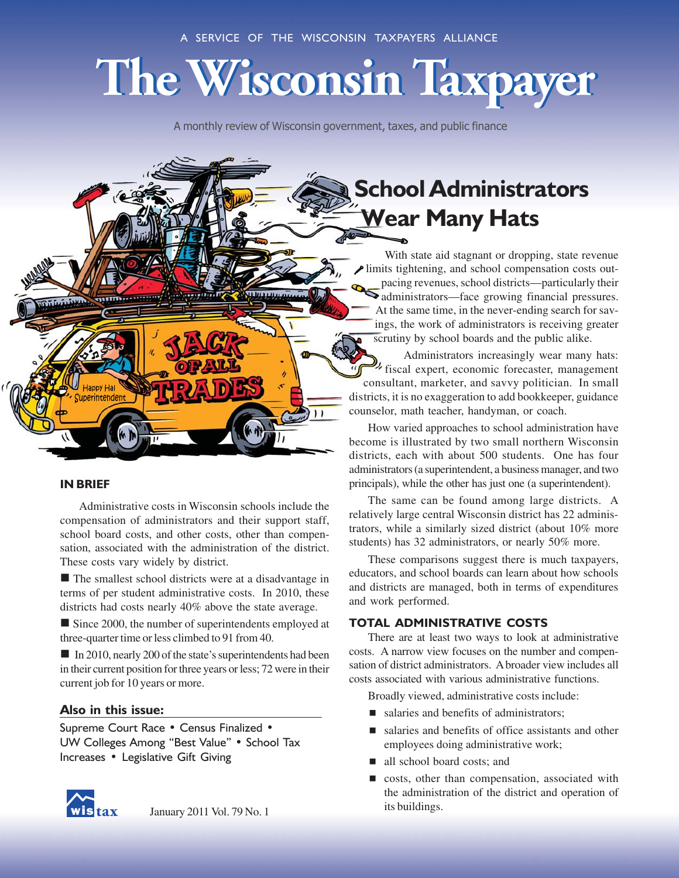# **The Wisconsin Taxpayer**

A monthly review of Wisconsin government, taxes, and public finance



With state aid stagnant or dropping, state revenue limits tightening, and school compensation costs outpacing revenues, school districts—particularly their  $\blacktriangleright$  administrators—face growing financial pressures. At the same time, in the never-ending search for savings, the work of administrators is receiving greater scrutiny by school boards and the public alike.

Administrators increasingly wear many hats: fiscal expert, economic forecaster, management consultant, marketer, and savvy politician. In small districts, it is no exaggeration to add bookkeeper, guidance counselor, math teacher, handyman, or coach.

How varied approaches to school administration have become is illustrated by two small northern Wisconsin districts, each with about 500 students. One has four administrators (a superintendent, a business manager, and two principals), while the other has just one (a superintendent).

The same can be found among large districts. A relatively large central Wisconsin district has 22 administrators, while a similarly sized district (about 10% more students) has 32 administrators, or nearly 50% more.

These comparisons suggest there is much taxpayers, educators, and school boards can learn about how schools and districts are managed, both in terms of expenditures and work performed.

# TOTAL ADMINISTRATIVE COSTS

There are at least two ways to look at administrative costs. A narrow view focuses on the number and compensation of district administrators. A broader view includes all costs associated with various administrative functions.

Broadly viewed, administrative costs include:

- $\blacksquare$  salaries and benefits of administrators;
- $\blacksquare$  salaries and benefits of office assistants and other employees doing administrative work;
- all school board costs; and
- $\Box$  costs, other than compensation, associated with the administration of the district and operation of its buildings.

# IN BRIEF

Administrative costs in Wisconsin schools include the compensation of administrators and their support staff, school board costs, and other costs, other than compensation, associated with the administration of the district. These costs vary widely by district.

 $\blacksquare$  The smallest school districts were at a disadvantage in terms of per student administrative costs. In 2010, these districts had costs nearly 40% above the state average.

 $\blacksquare$  Since 2000, the number of superintendents employed at three-quarter time or less climbed to 91 from 40.

 $\blacksquare$  In 2010, nearly 200 of the state's superintendents had been in their current position for three years or less; 72 were in their current job for 10 years or more.

# Also in this issue:

Supreme Court Race • Census Finalized • UW Colleges Among "Best Value" • School Tax Increases • Legislative Gift Giving



January 2011 Vol. 79 No. 1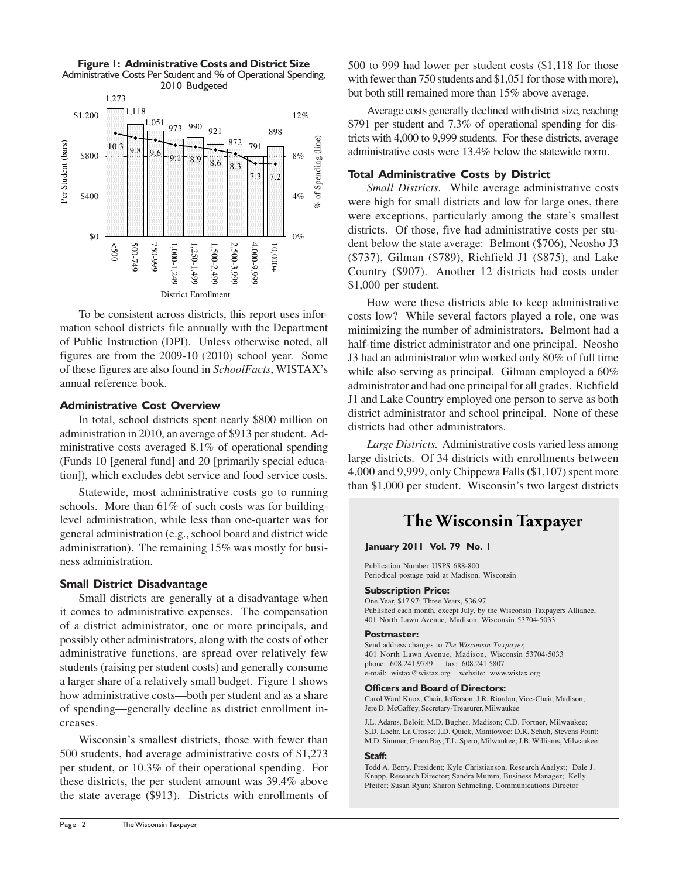



To be consistent across districts, this report uses information school districts file annually with the Department of Public Instruction (DPI). Unless otherwise noted, all figures are from the 2009-10 (2010) school year. Some of these figures are also found in *SchoolFacts*, WISTAX's annual reference book.

# Administrative Cost Overview

In total, school districts spent nearly \$800 million on administration in 2010, an average of \$913 per student. Administrative costs averaged 8.1% of operational spending (Funds 10 [general fund] and 20 [primarily special education]), which excludes debt service and food service costs.

Statewide, most administrative costs go to running schools. More than 61% of such costs was for buildinglevel administration, while less than one-quarter was for general administration (e.g., school board and district wide administration). The remaining 15% was mostly for business administration.

# Small District Disadvantage

Small districts are generally at a disadvantage when it comes to administrative expenses. The compensation of a district administrator, one or more principals, and possibly other administrators, along with the costs of other administrative functions, are spread over relatively few students (raising per student costs) and generally consume a larger share of a relatively small budget. Figure 1 shows how administrative costs—both per student and as a share of spending—generally decline as district enrollment increases.

Wisconsin's smallest districts, those with fewer than 500 students, had average administrative costs of \$1,273 per student, or 10.3% of their operational spending. For these districts, the per student amount was 39.4% above the state average (\$913). Districts with enrollments of 500 to 999 had lower per student costs (\$1,118 for those with fewer than 750 students and \$1,051 for those with more). but both still remained more than 15% above average.

Average costs generally declined with district size, reaching \$791 per student and 7.3% of operational spending for districts with 4,000 to 9,999 students. For these districts, average administrative costs were 13.4% below the statewide norm.

# Total Administrative Costs by District

*Small Districts.* While average administrative costs were high for small districts and low for large ones, there were exceptions, particularly among the state's smallest districts. Of those, five had administrative costs per student below the state average: Belmont (\$706), Neosho J3 (\$737), Gilman (\$789), Richfield J1 (\$875), and Lake Country (\$907). Another 12 districts had costs under \$1,000 per student.

How were these districts able to keep administrative costs low? While several factors played a role, one was minimizing the number of administrators. Belmont had a half-time district administrator and one principal. Neosho J3 had an administrator who worked only 80% of full time while also serving as principal. Gilman employed a 60% administrator and had one principal for all grades. Richfield J1 and Lake Country employed one person to serve as both district administrator and school principal. None of these districts had other administrators.

*Large Districts.* Administrative costs varied less among large districts. Of 34 districts with enrollments between 4,000 and 9,999, only Chippewa Falls (\$1,107) spent more than \$1,000 per student. Wisconsin's two largest districts

# **The Wisconsin Taxpayer**

#### January 2011 Vol. 79 No. 1

Publication Number USPS 688-800 Periodical postage paid at Madison, Wisconsin

#### Subscription Price:

One Year, \$17.97; Three Years, \$36.97 Published each month, except July, by the Wisconsin Taxpayers Alliance, 401 North Lawn Avenue, Madison, Wisconsin 53704-5033

#### Postmaster:

Send address changes to *The Wisconsin Taxpayer,* 401 North Lawn Avenue, Madison, Wisconsin 53704-5033 phone: 608.241.9789 fax: 608.241.5807 e-mail: wistax@wistax.org website: www.wistax.org

#### Officers and Board of Directors:

Carol Ward Knox, Chair, Jefferson; J.R. Riordan, Vice-Chair, Madison; Jere D. McGaffey, Secretary-Treasurer, Milwaukee

J.L. Adams, Beloit; M.D. Bugher, Madison; C.D. Fortner, Milwaukee; S.D. Loehr, La Crosse; J.D. Quick, Manitowoc; D.R. Schuh, Stevens Point; M.D. Simmer, Green Bay; T.L. Spero, Milwaukee; J.B. Williams, Milwaukee

#### Staff:

Todd A. Berry, President; Kyle Christianson, Research Analyst; Dale J. Knapp, Research Director; Sandra Mumm, Business Manager; Kelly Pfeifer; Susan Ryan; Sharon Schmeling, Communications Director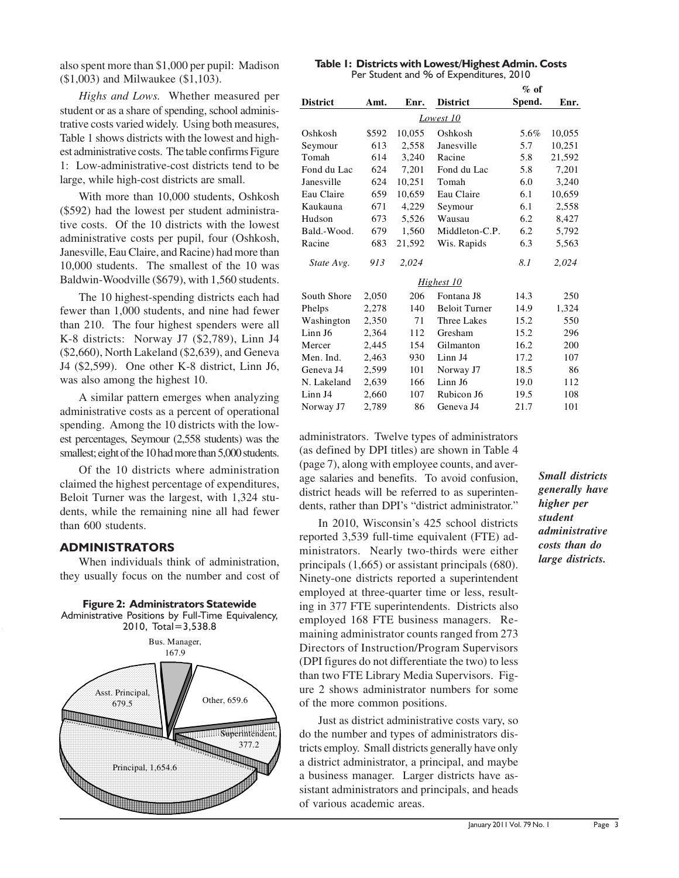also spent more than \$1,000 per pupil: Madison (\$1,003) and Milwaukee (\$1,103).

*Highs and Lows.* Whether measured per student or as a share of spending, school administrative costs varied widely. Using both measures, Table 1 shows districts with the lowest and highest administrative costs. The table confirms Figure 1: Low-administrative-cost districts tend to be large, while high-cost districts are small.

With more than 10,000 students, Oshkosh (\$592) had the lowest per student administrative costs. Of the 10 districts with the lowest administrative costs per pupil, four (Oshkosh, Janesville, Eau Claire, and Racine) had more than 10,000 students. The smallest of the 10 was Baldwin-Woodville (\$679), with 1,560 students.

The 10 highest-spending districts each had fewer than 1,000 students, and nine had fewer than 210. The four highest spenders were all K-8 districts: Norway J7 (\$2,789), Linn J4 (\$2,660), North Lakeland (\$2,639), and Geneva J4 (\$2,599). One other K-8 district, Linn J6, was also among the highest 10.

A similar pattern emerges when analyzing administrative costs as a percent of operational spending. Among the 10 districts with the lowest percentages, Seymour (2,558 students) was the smallest; eight of the 10 had more than 5,000 students.

Of the 10 districts where administration claimed the highest percentage of expenditures, Beloit Turner was the largest, with 1,324 students, while the remaining nine all had fewer than 600 students.

# ADMINISTRATORS

When individuals think of administration, they usually focus on the number and cost of



#### Table 1: Districts with Lowest/Highest Admin. Costs Per Student and % of Expenditures, 2010

|                 |       |        |                      | $%$ of |        |
|-----------------|-------|--------|----------------------|--------|--------|
| <b>District</b> | Amt.  | Enr.   | <b>District</b>      | Spend. | Enr.   |
|                 |       |        |                      |        |        |
| Oshkosh         | \$592 | 10,055 | Oshkosh              | 5.6%   | 10,055 |
| Seymour         | 613   | 2,558  | Janesville           | 5.7    | 10,251 |
| Tomah           | 614   | 3,240  | Racine               | 5.8    | 21,592 |
| Fond du Lac     | 624   | 7,201  | Fond du Lac          | 5.8    | 7,201  |
| Janesville      | 624   | 10,251 | Tomah                | 6.0    | 3,240  |
| Eau Claire      | 659   | 10,659 | Eau Claire           | 6.1    | 10,659 |
| Kaukauna        | 671   | 4,229  | Seymour              | 6.1    | 2,558  |
| Hudson          | 673   | 5,526  | Wausau               | 6.2    | 8,427  |
| Bald.-Wood.     | 679   | 1,560  | Middleton-C.P.       | 6.2    | 5,792  |
| Racine          | 683   | 21,592 | Wis. Rapids          | 6.3    | 5,563  |
| State Avg.      | 913   | 2,024  |                      | 8.1    | 2,024  |
|                 |       |        | Highest 10           |        |        |
| South Shore     | 2,050 | 206    | Fontana J8           | 14.3   | 250    |
| Phelps          | 2,278 | 140    | <b>Beloit Turner</b> | 14.9   | 1,324  |
| Washington      | 2,350 | 71     | <b>Three Lakes</b>   | 15.2   | 550    |
| Linn J6         | 2,364 | 112    | Gresham              | 15.2   | 296    |
| Mercer          | 2,445 | 154    | Gilmanton            | 16.2   | 200    |
| Men. Ind.       | 2,463 | 930    | Linn J4              | 17.2   | 107    |
| Geneva J4       | 2,599 | 101    | Norway J7            | 18.5   | 86     |
| N. Lakeland     | 2,639 | 166    | Linn J6              | 19.0   | 112    |
| Linn J4         | 2,660 | 107    | Rubicon J6           | 19.5   | 108    |
| Norway J7       | 2,789 | 86     | Geneva J4            | 21.7   | 101    |

administrators. Twelve types of administrators (as defined by DPI titles) are shown in Table 4 (page 7), along with employee counts, and average salaries and benefits. To avoid confusion, district heads will be referred to as superintendents, rather than DPI's "district administrator."

In 2010, Wisconsin's 425 school districts reported 3,539 full-time equivalent (FTE) administrators. Nearly two-thirds were either principals (1,665) or assistant principals (680). Ninety-one districts reported a superintendent employed at three-quarter time or less, resulting in 377 FTE superintendents. Districts also employed 168 FTE business managers. Remaining administrator counts ranged from 273 Directors of Instruction/Program Supervisors (DPI figures do not differentiate the two) to less than two FTE Library Media Supervisors. Figure 2 shows administrator numbers for some of the more common positions.

Just as district administrative costs vary, so do the number and types of administrators districts employ. Small districts generally have only a district administrator, a principal, and maybe a business manager. Larger districts have assistant administrators and principals, and heads of various academic areas.

*Small districts generally have higher per student administrative costs than do large districts.*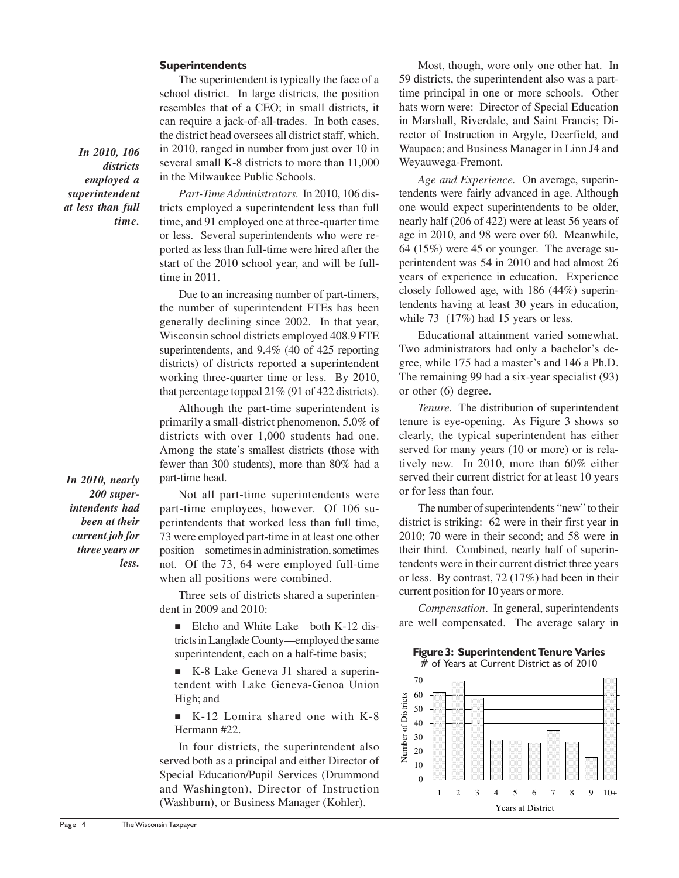# **Superintendents**

The superintendent is typically the face of a school district. In large districts, the position resembles that of a CEO; in small districts, it can require a jack-of-all-trades. In both cases, the district head oversees all district staff, which, in 2010, ranged in number from just over 10 in several small K-8 districts to more than 11,000 in the Milwaukee Public Schools.

*In 2010, 106 districts employed a superintendent at less than full time.*

*Part-Time Administrators.* In 2010, 106 districts employed a superintendent less than full time, and 91 employed one at three-quarter time or less. Several superintendents who were reported as less than full-time were hired after the start of the 2010 school year, and will be fulltime in 2011.

Due to an increasing number of part-timers, the number of superintendent FTEs has been generally declining since 2002. In that year, Wisconsin school districts employed 408.9 FTE superintendents, and 9.4% (40 of 425 reporting districts) of districts reported a superintendent working three-quarter time or less. By 2010, that percentage topped 21% (91 of 422 districts).

Although the part-time superintendent is primarily a small-district phenomenon, 5.0% of districts with over 1,000 students had one. Among the state's smallest districts (those with fewer than 300 students), more than 80% had a part-time head.

*In 2010, nearly 200 superintendents had been at their current job for three years or less.*

Not all part-time superintendents were part-time employees, however. Of 106 superintendents that worked less than full time, 73 were employed part-time in at least one other position—sometimes in administration, sometimes not. Of the 73, 64 were employed full-time when all positions were combined.

Three sets of districts shared a superintendent in 2009 and 2010:

■ Elcho and White Lake—both K-12 districts in Langlade County—employed the same superintendent, each on a half-time basis;

n K-8 Lake Geneva J1 shared a superintendent with Lake Geneva-Genoa Union High; and

 $\blacksquare$  K-12 Lomira shared one with K-8 Hermann #22.

In four districts, the superintendent also served both as a principal and either Director of Special Education/Pupil Services (Drummond and Washington), Director of Instruction (Washburn), or Business Manager (Kohler).

Most, though, wore only one other hat. In 59 districts, the superintendent also was a parttime principal in one or more schools. Other hats worn were: Director of Special Education in Marshall, Riverdale, and Saint Francis; Director of Instruction in Argyle, Deerfield, and Waupaca; and Business Manager in Linn J4 and Weyauwega-Fremont.

*Age and Experience.* On average, superintendents were fairly advanced in age. Although one would expect superintendents to be older, nearly half (206 of 422) were at least 56 years of age in 2010, and 98 were over 60. Meanwhile, 64 (15%) were 45 or younger. The average superintendent was 54 in 2010 and had almost 26 years of experience in education. Experience closely followed age, with 186 (44%) superintendents having at least 30 years in education, while 73 (17%) had 15 years or less.

Educational attainment varied somewhat. Two administrators had only a bachelor's degree, while 175 had a master's and 146 a Ph.D. The remaining 99 had a six-year specialist (93) or other (6) degree.

*Tenure.* The distribution of superintendent tenure is eye-opening. As Figure 3 shows so clearly, the typical superintendent has either served for many years (10 or more) or is relatively new. In 2010, more than 60% either served their current district for at least 10 years or for less than four.

The number of superintendents "new" to their district is striking: 62 were in their first year in 2010; 70 were in their second; and 58 were in their third. Combined, nearly half of superintendents were in their current district three years or less. By contrast, 72 (17%) had been in their current position for 10 years or more.

*Compensation*. In general, superintendents are well compensated. The average salary in

#### Figure 3: Superintendent Tenure Varies # of Years at Current District as of 2010

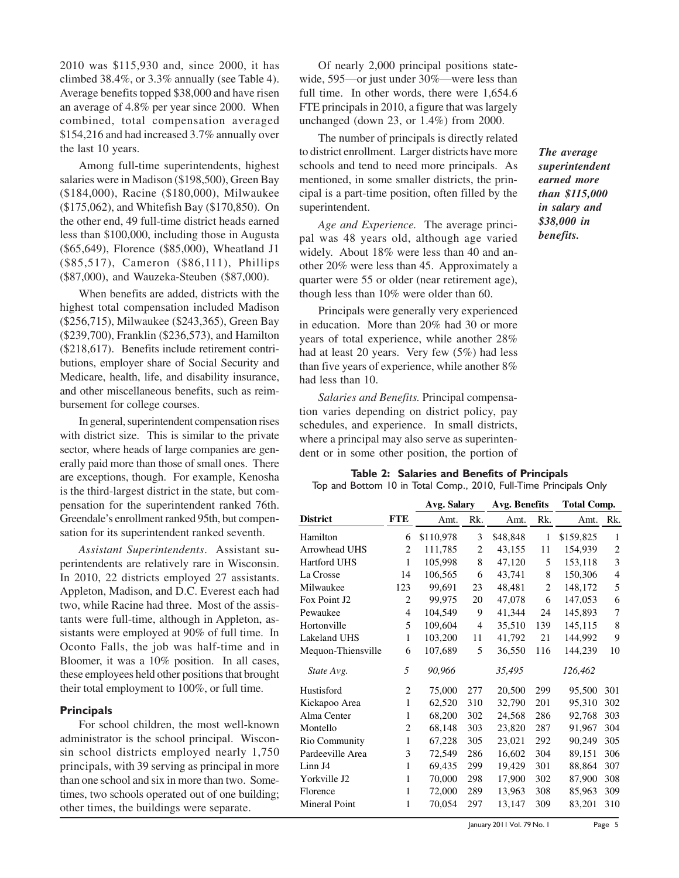2010 was \$115,930 and, since 2000, it has climbed 38.4%, or 3.3% annually (see Table 4). Average benefits topped \$38,000 and have risen an average of 4.8% per year since 2000. When combined, total compensation averaged \$154,216 and had increased 3.7% annually over the last 10 years.

Among full-time superintendents, highest salaries were in Madison (\$198,500), Green Bay (\$184,000), Racine (\$180,000), Milwaukee (\$175,062), and Whitefish Bay (\$170,850). On the other end, 49 full-time district heads earned less than \$100,000, including those in Augusta (\$65,649), Florence (\$85,000), Wheatland J1 (\$85,517), Cameron (\$86,111), Phillips (\$87,000), and Wauzeka-Steuben (\$87,000).

When benefits are added, districts with the highest total compensation included Madison (\$256,715), Milwaukee (\$243,365), Green Bay (\$239,700), Franklin (\$236,573), and Hamilton (\$218,617). Benefits include retirement contributions, employer share of Social Security and Medicare, health, life, and disability insurance, and other miscellaneous benefits, such as reimbursement for college courses.

In general, superintendent compensation rises with district size. This is similar to the private sector, where heads of large companies are generally paid more than those of small ones. There are exceptions, though. For example, Kenosha is the third-largest district in the state, but compensation for the superintendent ranked 76th. Greendale's enrollment ranked 95th, but compensation for its superintendent ranked seventh.

*Assistant Superintendents*. Assistant superintendents are relatively rare in Wisconsin. In 2010, 22 districts employed 27 assistants. Appleton, Madison, and D.C. Everest each had two, while Racine had three. Most of the assistants were full-time, although in Appleton, assistants were employed at 90% of full time. In Oconto Falls, the job was half-time and in Bloomer, it was a 10% position. In all cases, these employees held other positions that brought their total employment to 100%, or full time.

#### **Principals**

For school children, the most well-known administrator is the school principal. Wisconsin school districts employed nearly 1,750 principals, with 39 serving as principal in more than one school and six in more than two. Sometimes, two schools operated out of one building; other times, the buildings were separate.

Of nearly 2,000 principal positions statewide, 595—or just under 30%—were less than full time. In other words, there were 1,654.6 FTE principals in 2010, a figure that was largely unchanged (down 23, or 1.4%) from 2000.

The number of principals is directly related to district enrollment. Larger districts have more schools and tend to need more principals. As mentioned, in some smaller districts, the principal is a part-time position, often filled by the superintendent.

*Age and Experience.* The average principal was 48 years old, although age varied widely. About 18% were less than 40 and another 20% were less than 45. Approximately a quarter were 55 or older (near retirement age), though less than 10% were older than 60.

Principals were generally very experienced in education. More than 20% had 30 or more years of total experience, while another 28% had at least 20 years. Very few (5%) had less than five years of experience, while another 8% had less than 10.

*Salaries and Benefits.* Principal compensation varies depending on district policy, pay schedules, and experience. In small districts, where a principal may also serve as superintendent or in some other position, the portion of

# Table 2: Salaries and Benefits of Principals

Top and Bottom 10 in Total Comp., 2010, Full-Time Principals Only

|                      |                | Avg. Salary |                | Avg. Benefits |                | <b>Total Comp.</b> |                |  |
|----------------------|----------------|-------------|----------------|---------------|----------------|--------------------|----------------|--|
| <b>District</b>      | <b>FTE</b>     | Amt.        | Rk.            | Amt.          | Rk.            | Amt.               | Rk.            |  |
| Hamilton             | 6              | \$110,978   | 3              | \$48,848      | $\mathbf{1}$   | \$159,825          | 1              |  |
| Arrowhead UHS        | 2              | 111,785     | 2              | 43,155        | 11             | 154,939            | $\overline{2}$ |  |
| Hartford UHS         | 1              | 105,998     | 8              | 47,120        | 5              | 153,118            | 3              |  |
| La Crosse            | 14             | 106,565     | 6              | 43,741        | 8              | 150,306            | $\overline{4}$ |  |
| Milwaukee            | 123            | 99.691      | 23             | 48,481        | $\overline{2}$ | 148,172            | 5              |  |
| Fox Point J2         | 2              | 99,975      | 20             | 47,078        | 6              | 147,053            | 6              |  |
| Pewaukee             | $\overline{4}$ | 104,549     | 9              | 41,344        | 24             | 145,893            | 7              |  |
| Hortonville          | 5              | 109,604     | $\overline{4}$ | 35,510        | 139            | 145,115            | 8              |  |
| Lakeland UHS         | 1              | 103,200     | 11             | 41,792        | 21             | 144,992            | 9              |  |
| Mequon-Thiensville   | 6              | 107,689     | 5              | 36,550        | 116            | 144,239            | 10             |  |
| State Avg.           | 5              | 90,966      |                | 35,495        |                | 126,462            |                |  |
| Hustisford           | $\overline{2}$ | 75,000      | 277            | 20,500        | 299            | 95,500             | 301            |  |
| Kickapoo Area        | $\mathbf{1}$   | 62,520      | 310            | 32,790        | 201            | 95,310             | 302            |  |
| Alma Center          | 1              | 68,200      | 302            | 24,568        | 286            | 92,768             | 303            |  |
| Montello             | $\overline{c}$ | 68,148      | 303            | 23,820        | 287            | 91,967             | 304            |  |
| Rio Community        | 1              | 67,228      | 305            | 23,021        | 292            | 90,249             | 305            |  |
| Pardeeville Area     | 3              | 72,549      | 286            | 16,602        | 304            | 89,151             | 306            |  |
| Linn J4              | 1              | 69,435      | 299            | 19,429        | 301            | 88,864             | 307            |  |
| Yorkville J2         | 1              | 70,000      | 298            | 17,900        | 302            | 87.900             | 308            |  |
| Florence             | 1              | 72,000      | 289            | 13,963        | 308            | 85,963             | 309            |  |
| <b>Mineral Point</b> | 1              | 70,054      | 297            | 13,147        | 309            | 83,201             | 310            |  |
|                      |                |             |                |               |                |                    |                |  |

*The average superintendent earned more than \$115,000 in salary and \$38,000 in benefits.*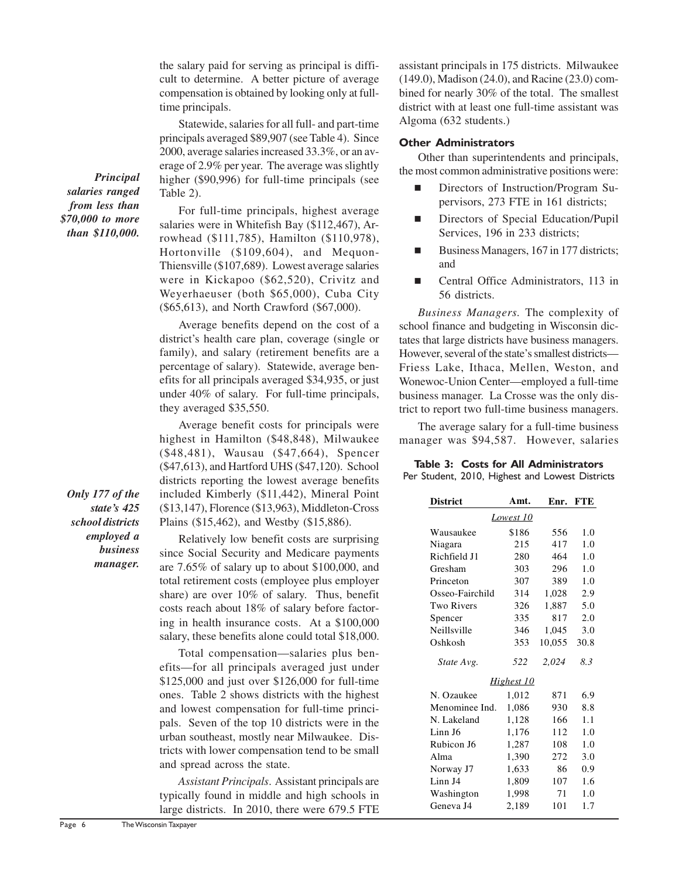the salary paid for serving as principal is difficult to determine. A better picture of average compensation is obtained by looking only at fulltime principals.

Statewide, salaries for all full- and part-time principals averaged \$89,907 (see Table 4). Since 2000, average salaries increased 33.3%, or an average of 2.9% per year. The average was slightly higher (\$90,996) for full-time principals (see Table 2).

For full-time principals, highest average salaries were in Whitefish Bay (\$112,467), Arrowhead (\$111,785), Hamilton (\$110,978), Hortonville (\$109,604), and Mequon-Thiensville (\$107,689). Lowest average salaries were in Kickapoo (\$62,520), Crivitz and Weyerhaeuser (both \$65,000), Cuba City (\$65,613), and North Crawford (\$67,000).

Average benefits depend on the cost of a district's health care plan, coverage (single or family), and salary (retirement benefits are a percentage of salary). Statewide, average benefits for all principals averaged \$34,935, or just under 40% of salary. For full-time principals, they averaged \$35,550.

Average benefit costs for principals were highest in Hamilton (\$48,848), Milwaukee (\$48,481), Wausau (\$47,664), Spencer (\$47,613), and Hartford UHS (\$47,120). School districts reporting the lowest average benefits included Kimberly (\$11,442), Mineral Point (\$13,147), Florence (\$13,963), Middleton-Cross Plains (\$15,462), and Westby (\$15,886).

Relatively low benefit costs are surprising since Social Security and Medicare payments are 7.65% of salary up to about \$100,000, and total retirement costs (employee plus employer share) are over 10% of salary. Thus, benefit costs reach about 18% of salary before factoring in health insurance costs. At a \$100,000 salary, these benefits alone could total \$18,000.

Total compensation—salaries plus benefits—for all principals averaged just under \$125,000 and just over \$126,000 for full-time ones. Table 2 shows districts with the highest and lowest compensation for full-time principals. Seven of the top 10 districts were in the urban southeast, mostly near Milwaukee. Districts with lower compensation tend to be small and spread across the state.

*Assistant Principals*. Assistant principals are typically found in middle and high schools in large districts. In 2010, there were 679.5 FTE assistant principals in 175 districts. Milwaukee (149.0), Madison (24.0), and Racine (23.0) combined for nearly 30% of the total. The smallest district with at least one full-time assistant was Algoma (632 students.)

# Other Administrators

Other than superintendents and principals, the most common administrative positions were:

- Directors of Instruction/Program Supervisors, 273 FTE in 161 districts;
- Directors of Special Education/Pupil Services, 196 in 233 districts;
- Business Managers, 167 in 177 districts; and
- Central Office Administrators, 113 in 56 districts.

*Business Managers.* The complexity of school finance and budgeting in Wisconsin dictates that large districts have business managers. However, several of the state's smallest districts— Friess Lake, Ithaca, Mellen, Weston, and Wonewoc-Union Center—employed a full-time business manager. La Crosse was the only district to report two full-time business managers.

The average salary for a full-time business manager was \$94,587. However, salaries

# Table 3: Costs for All Administrators

| Per Student, 2010, Highest and Lowest Districts |  |  |  |
|-------------------------------------------------|--|--|--|
|                                                 |  |  |  |

| <b>District</b>   | Amt.  | Enr.   | <b>FTE</b> |  |  |  |  |  |
|-------------------|-------|--------|------------|--|--|--|--|--|
| Lowest 10         |       |        |            |  |  |  |  |  |
| Wausaukee         | \$186 | 556    | 1.0        |  |  |  |  |  |
| Niagara           | 215   | 417    | 1.0        |  |  |  |  |  |
| Richfield J1      | 280   | 464    | 1.0        |  |  |  |  |  |
| Gresham           | 303   | 296    | 1.0        |  |  |  |  |  |
| Princeton         | 307   | 389    | 1.0        |  |  |  |  |  |
| Osseo-Fairchild   | 314   | 1,028  | 2.9        |  |  |  |  |  |
| <b>Two Rivers</b> | 326   | 1.887  | 5.0        |  |  |  |  |  |
| Spencer           | 335   | 817    | 2.0        |  |  |  |  |  |
| Neillsville       | 346   | 1,045  | 3.0        |  |  |  |  |  |
| Oshkosh           | 353   | 10,055 | 30.8       |  |  |  |  |  |
| State Avg.        | 522   | 2,024  | 8.3        |  |  |  |  |  |
| Highest 10        |       |        |            |  |  |  |  |  |
| N. Ozaukee        | 1,012 | 871    | 6.9        |  |  |  |  |  |
| Menominee Ind.    | 1,086 | 930    | 8.8        |  |  |  |  |  |
| N. Lakeland       | 1,128 | 166    | 1.1        |  |  |  |  |  |
| Linn J6           | 1,176 | 112    | 1.0        |  |  |  |  |  |
| Rubicon J6        | 1,287 | 108    | 1.0        |  |  |  |  |  |
| Alma              | 1,390 | 272    | 3.0        |  |  |  |  |  |
| Norway J7         | 1,633 | 86     | 0.9        |  |  |  |  |  |
| Linn J4           | 1,809 | 107    | 1.6        |  |  |  |  |  |
| Washington        | 1,998 | 71     | 1.0        |  |  |  |  |  |
| Geneva J4         | 2,189 | 101    | 1.7        |  |  |  |  |  |

*Principal salaries ranged from less than \$70,000 to more than \$110,000.*

*Only 177 of the state's 425 school districts employed a business manager.*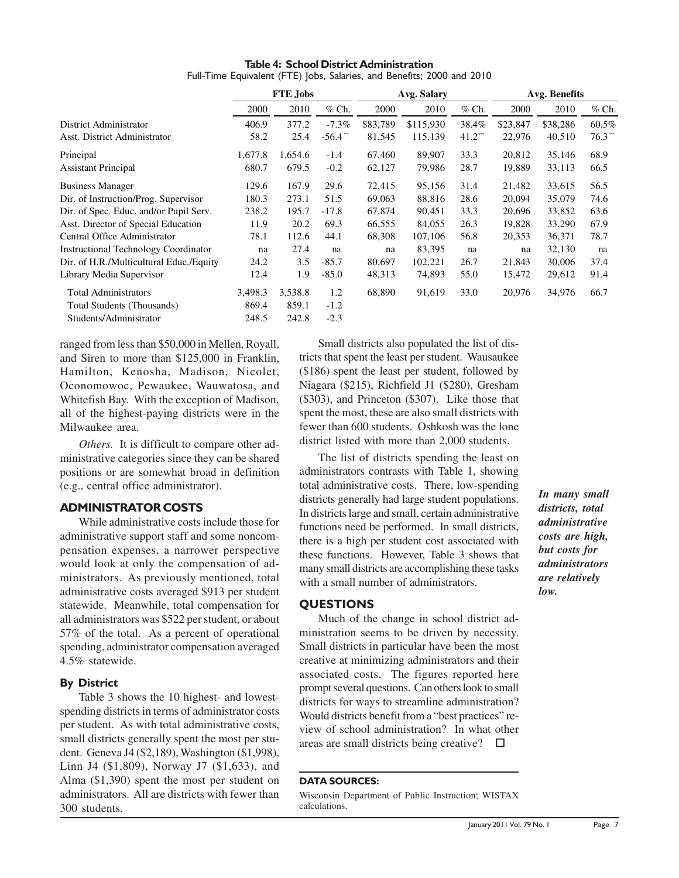|                                             | <b>FTE Jobs</b> |         |          | Avg. Salary |           |                | Avg. Benefits |          |         |
|---------------------------------------------|-----------------|---------|----------|-------------|-----------|----------------|---------------|----------|---------|
|                                             | 2000            | 2010    | $%$ Ch.  | 2000        | 2010      | $%$ Ch.        | 2000          | 2010     | $%$ Ch. |
| District Administrator                      | 406.9           | 377.2   | $-7.3\%$ | \$83,789    | \$115,930 | 38.4%          | \$23,847      | \$38,286 | 60.5%   |
| Asst. District Administrator                | 58.2            | 25.4    | $-56.4$  | 81,545      | 115,139   | $41.2^{\circ}$ | 22,976        | 40,510   | 76.3    |
| Principal                                   | 1,677.8         | 1,654.6 | $-1.4$   | 67,460      | 89,907    | 33.3           | 20,812        | 35,146   | 68.9    |
| <b>Assistant Principal</b>                  | 680.7           | 679.5   | $-0.2$   | 62,127      | 79,986    | 28.7           | 19,889        | 33,113   | 66.5    |
| <b>Business Manager</b>                     | 129.6           | 167.9   | 29.6     | 72,415      | 95,156    | 31.4           | 21,482        | 33,615   | 56.5    |
| Dir. of Instruction/Prog. Supervisor        | 180.3           | 273.1   | 51.5     | 69,063      | 88,816    | 28.6           | 20,094        | 35,079   | 74.6    |
| Dir. of Spec. Educ. and/or Pupil Serv.      | 238.2           | 195.7   | $-17.8$  | 67,874      | 90,451    | 33.3           | 20,696        | 33,852   | 63.6    |
| Asst. Director of Special Education         | 11.9            | 20.2    | 69.3     | 66,555      | 84,055    | 26.3           | 19,828        | 33,290   | 67.9    |
| Central Office Administrator                | 78.1            | 112.6   | 44.1     | 68,308      | 107,106   | 56.8           | 20,353        | 36,371   | 78.7    |
| <b>Instructional Technology Coordinator</b> | na              | 27.4    | na       | na          | 83,395    | na             | na            | 32,130   | na      |
| Dir. of H.R./Multicultural Educ./Equity     | 24.2            | 3.5     | $-85.7$  | 80,697      | 102,221   | 26.7           | 21,843        | 30,006   | 37.4    |
| Library Media Supervisor                    | 12.4            | 1.9     | $-85.0$  | 48,313      | 74,893    | 55.0           | 15,472        | 29,612   | 91.4    |
| <b>Total Administrators</b>                 | 3.498.3         | 3,538.8 | 1.2      | 68,890      | 91,619    | 33.0           | 20,976        | 34,976   | 66.7    |
| Total Students (Thousands)                  | 869.4           | 859.1   | $-1.2$   |             |           |                |               |          |         |
| Students/Administrator                      | 248.5           | 242.8   | $-2.3$   |             |           |                |               |          |         |

Table 4: School District Administration Full-Time Equivalent (FTE) Jobs, Salaries, and Benefits; 2000 and 2010

ranged from less than \$50,000 in Mellen, Royall, and Siren to more than \$125,000 in Franklin, Hamilton, Kenosha, Madison, Nicolet, Oconomowoc, Pewaukee, Wauwatosa, and Whitefish Bay. With the exception of Madison, all of the highest-paying districts were in the Milwaukee area.

*Others.* It is difficult to compare other administrative categories since they can be shared positions or are somewhat broad in definition (e.g., central office administrator).

# ADMINISTRATOR COSTS

While administrative costs include those for administrative support staff and some noncompensation expenses, a narrower perspective would look at only the compensation of administrators. As previously mentioned, total administrative costs averaged \$913 per student statewide. Meanwhile, total compensation for all administrators was \$522 per student, or about 57% of the total. As a percent of operational spending, administrator compensation averaged 4.5% statewide.

# By District

Table 3 shows the 10 highest- and lowestspending districts in terms of administrator costs per student. As with total administrative costs, small districts generally spent the most per student. Geneva J4 (\$2,189), Washington (\$1,998), Linn J4 (\$1,809), Norway J7 (\$1,633), and Alma (\$1,390) spent the most per student on administrators. All are districts with fewer than 300 students.

Small districts also populated the list of districts that spent the least per student. Wausaukee (\$186) spent the least per student, followed by Niagara (\$215), Richfield J1 (\$280), Gresham (\$303), and Princeton (\$307). Like those that spent the most, these are also small districts with fewer than 600 students. Oshkosh was the lone district listed with more than 2,000 students.

The list of districts spending the least on administrators contrasts with Table 1, showing total administrative costs. There, low-spending districts generally had large student populations. In districts large and small, certain administrative functions need be performed. In small districts, there is a high per student cost associated with these functions. However, Table 3 shows that many small districts are accomplishing these tasks with a small number of administrators.

# **OUESTIONS**

Much of the change in school district administration seems to be driven by necessity. Small districts in particular have been the most creative at minimizing administrators and their associated costs. The figures reported here prompt several questions. Can others look to small districts for ways to streamline administration? Would districts benefit from a "best practices" review of school administration? In what other areas are small districts being creative?  $\Box$ 

#### DATA SOURCES:

Wisconsin Department of Public Instruction; WISTAX calculations.

*In many small districts, total administrative costs are high, but costs for administrators are relatively low.*